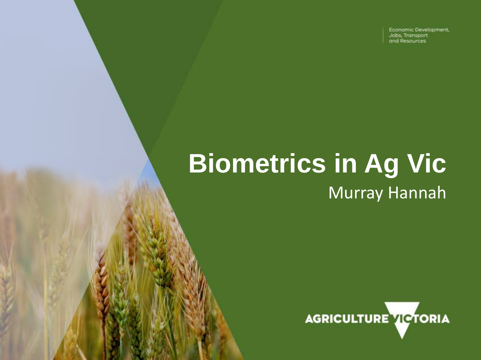Economic Development, Jobs, Transport and Resources

# **Biometrics in Ag Vic** Murray Hannah

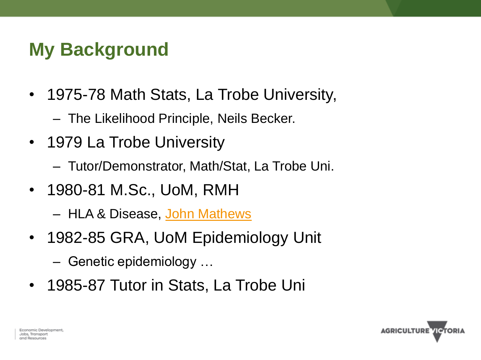## **My Background**

- 1975-78 Math Stats, La Trobe University,
	- The Likelihood Principle, Neils Becker.
- 1979 La Trobe University
	- Tutor/Demonstrator, Math/Stat, La Trobe Uni.
- 1980-81 M.Sc., UoM, RMH
	- HLA & Disease, [John Mathews](http://medicine150.mdhs.unimelb.edu.au/mathews)
- 1982-85 GRA, UoM Epidemiology Unit
	- Genetic epidemiology …
- 1985-87 Tutor in Stats, La Trobe Uni

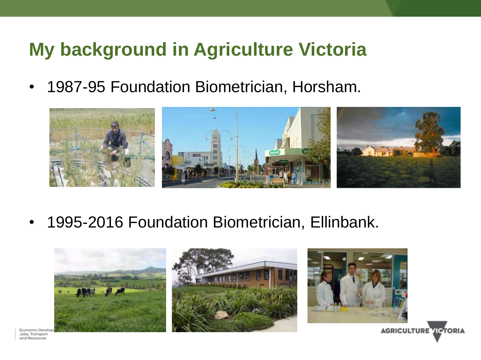#### **My background in Agriculture Victoria**

• 1987-95 Foundation Biometrician, Horsham.



• 1995-2016 Foundation Biometrician, Ellinbank.



Jobs, Transport and Resources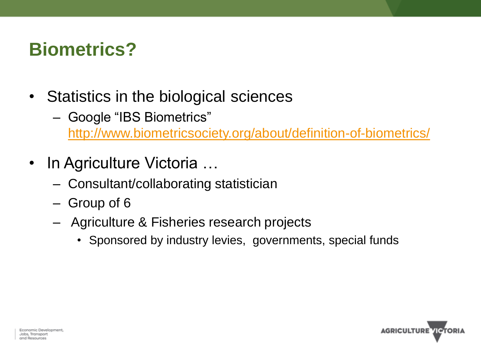### **Biometrics?**

- Statistics in the biological sciences
	- Google "IBS Biometrics" <http://www.biometricsociety.org/about/definition-of-biometrics/>
- In Agriculture Victoria ...
	- Consultant/collaborating statistician
	- Group of 6
	- Agriculture & Fisheries research projects
		- Sponsored by industry levies, governments, special funds

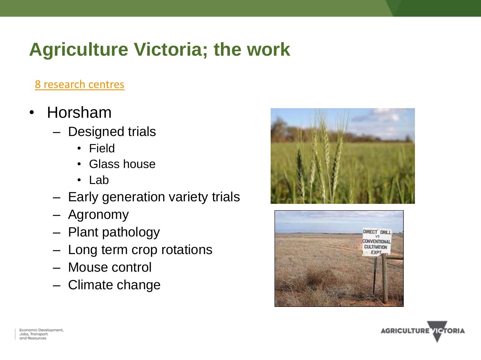### **Agriculture Victoria; the work**

#### [8 research centres](http://agriculture.vic.gov.au/agriculture/innovation-and-research/research-centres)

- Horsham
	- Designed trials
		- Field
		- Glass house
		- Lab
	- Early generation variety trials
	- Agronomy
	- Plant pathology
	- Long term crop rotations
	- Mouse control
	- Climate change





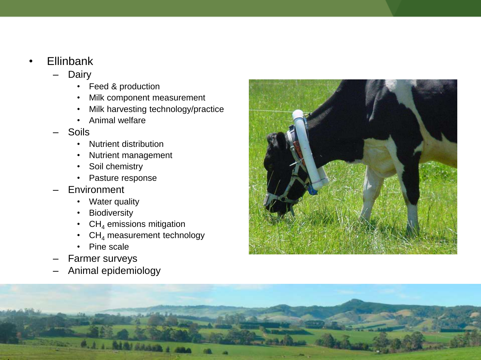- Ellinbank
	- **Dairy** 
		- Feed & production
		- Milk component measurement
		- Milk harvesting technology/practice
		- Animal welfare
	- Soils
		- Nutrient distribution
		- Nutrient management
		- Soil chemistry
		- Pasture response
	- **Environment** 
		- Water quality
		- **Biodiversity**
		- $CH<sub>4</sub>$  emissions mitigation
		- $CH<sub>4</sub>$  measurement technology
		- Pine scale
	- Farmer surveys
	- Animal epidemiology



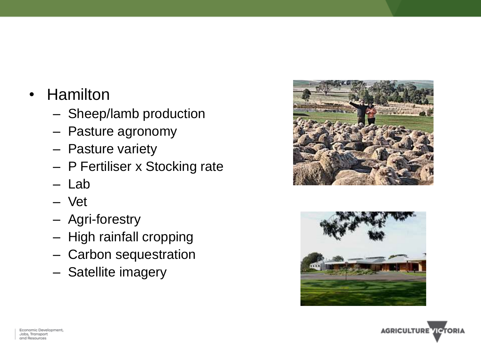- Hamilton
	- Sheep/lamb production
	- Pasture agronomy
	- Pasture variety
	- P Fertiliser x Stocking rate
	- Lab
	- Vet
	- Agri-forestry
	- High rainfall cropping
	- Carbon sequestration
	- Satellite imagery





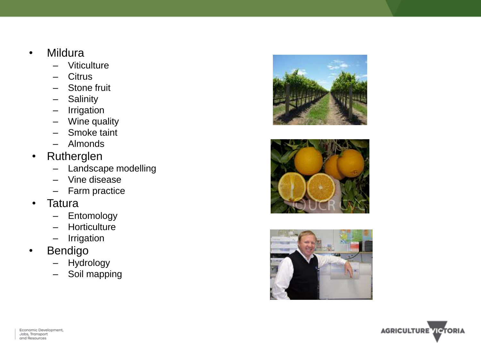- Mildura
	- Viticulture
	- **Citrus**
	- Stone fruit
	- **Salinity**
	- Irrigation
	- Wine quality
	- Smoke taint
	- Almonds
- Rutherglen
	- Landscape modelling
	- Vine disease
	- Farm practice
- Tatura
	- Entomology
	- Horticulture
	- Irrigation
- Bendigo
	- Hydrology
	- Soil mapping







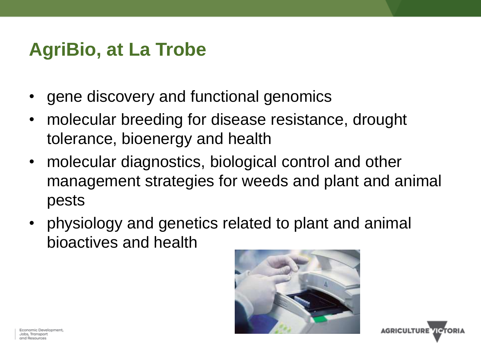#### **AgriBio, at La Trobe**

- gene discovery and functional genomics
- molecular breeding for disease resistance, drought tolerance, bioenergy and health
- molecular diagnostics, biological control and other management strategies for weeds and plant and animal pests
- physiology and genetics related to plant and animal bioactives and health



**AGRICULTURE VICTORI** 

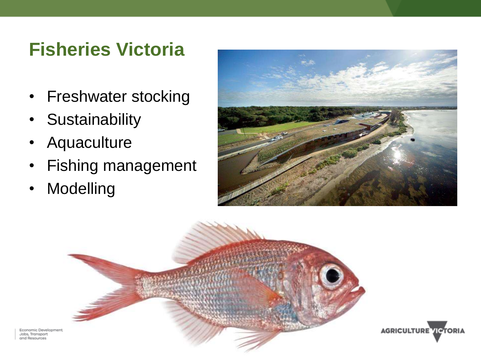#### **Fisheries Victoria**

- Freshwater stocking
- Sustainability
- Aquaculture
- Fishing management
- Modelling







Economic Development Jobs, Transport and Resources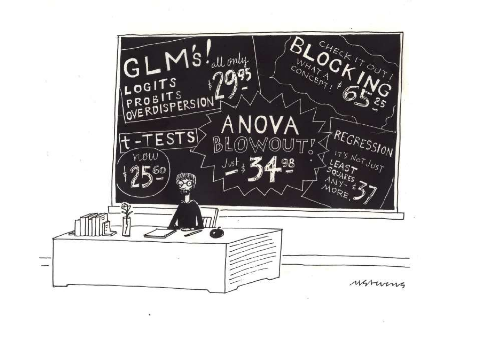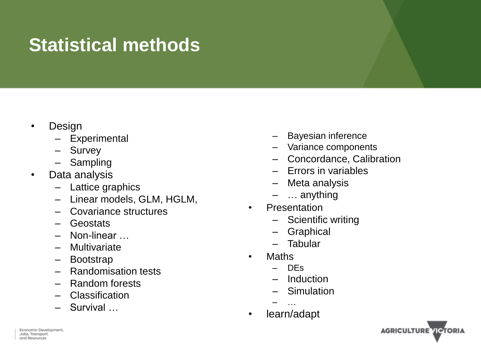## **Statistical methods**

- Design
	- **Experimental**
	- Survey
	- Sampling
- Data analysis
	- Lattice graphics
	- Linear models, GLM, HGLM,
	- Covariance structures
	- Geostats
	- Non-linear …
	- Multivariate
	- Bootstrap
	- Randomisation tests
	- Random forests
	- Classification
	- Survival …
- Bayesian inference
- Variance components
- Concordance, Calibration
- Errors in variables
- Meta analysis
- ... anything
- **Presentation** 
	- Scientific writing
	- Graphical
	- Tabular
- Maths
	- DEs
	- **Induction**
	- **Simulation**
	- …
- learn/adapt

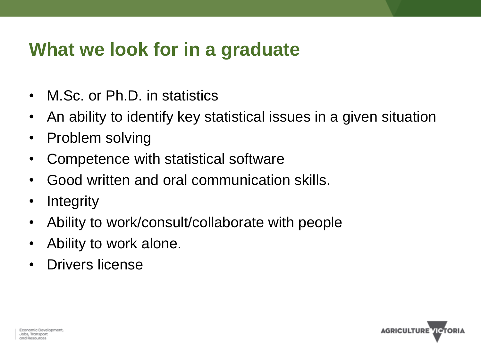#### **What we look for in a graduate**

- M.Sc. or Ph.D. in statistics
- An ability to identify key statistical issues in a given situation
- Problem solving
- Competence with statistical software
- Good written and oral communication skills.
- Integrity
- Ability to work/consult/collaborate with people
- Ability to work alone.
- Drivers license

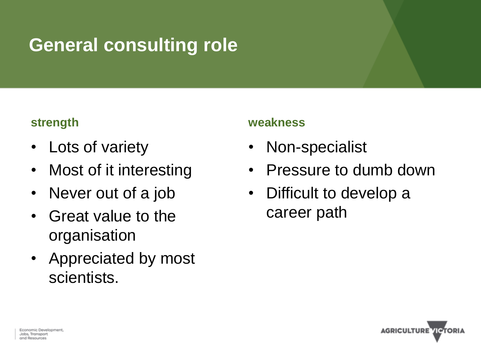## **General consulting role**

#### **strength**

- Lots of variety
- Most of it interesting
- Never out of a job
- Great value to the organisation
- Appreciated by most scientists.

#### **weakness**

- Non-specialist
- Pressure to dumb down
- Difficult to develop a career path